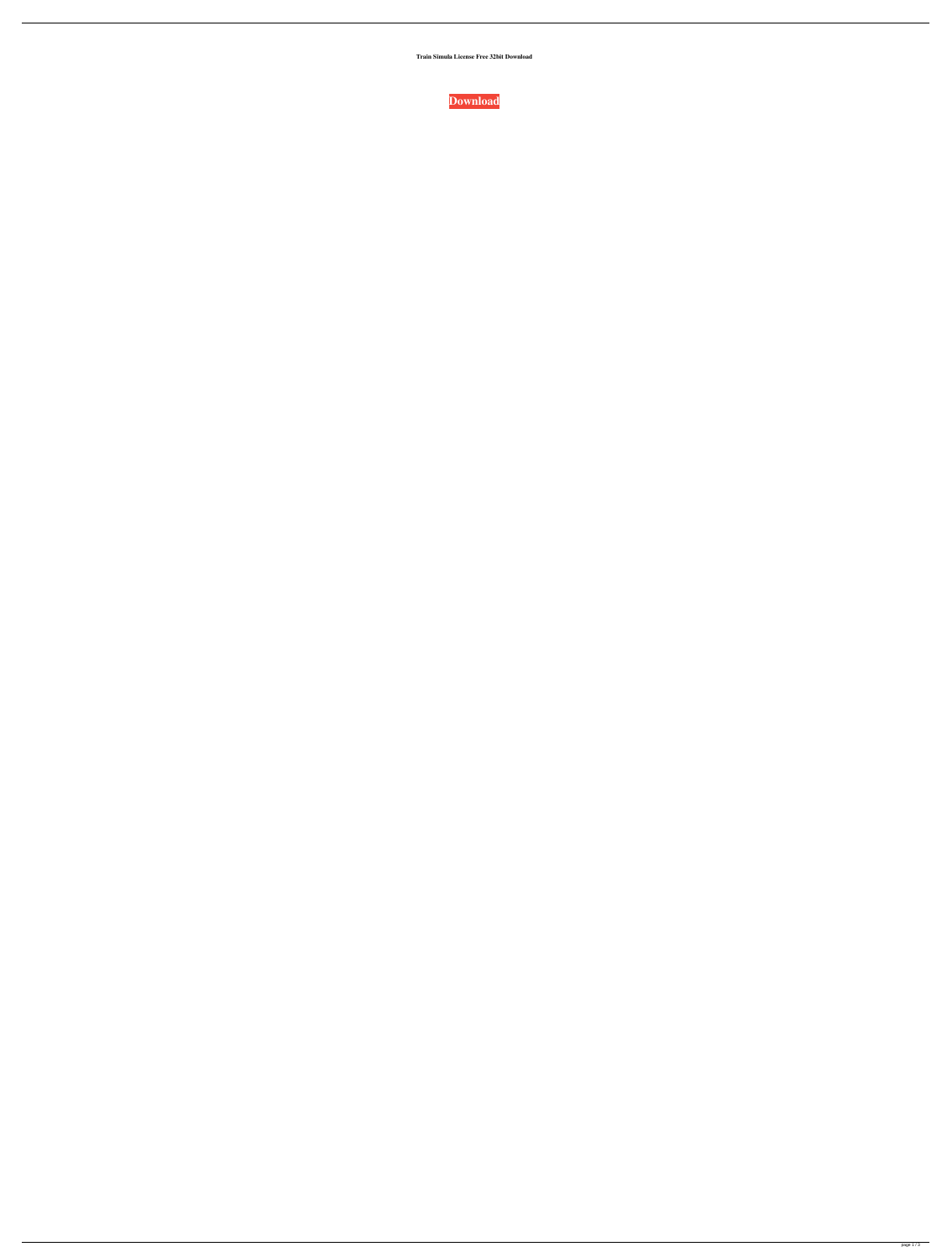**Train Simula License Free 32bit Download**

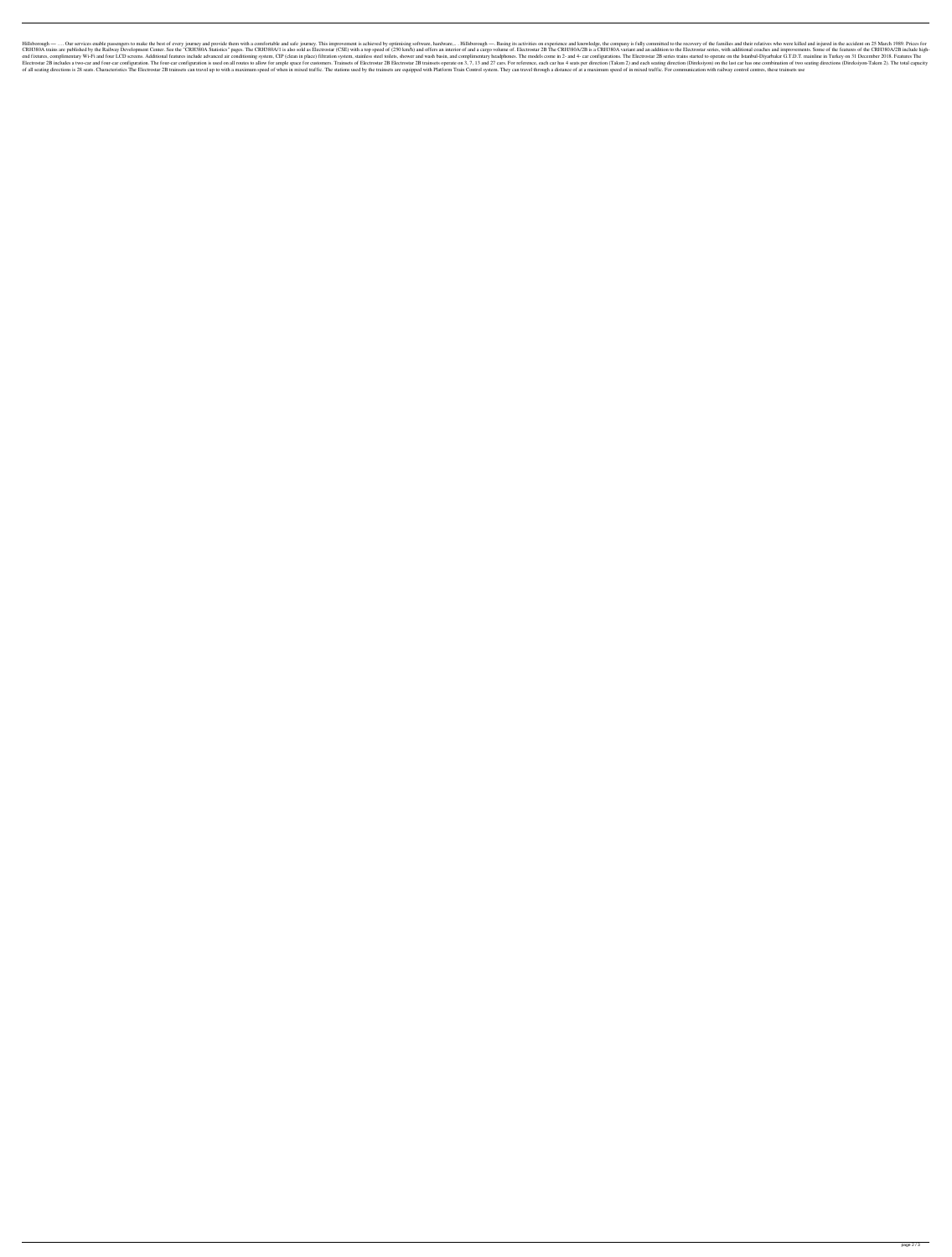Hillsborough -.... Our services enable passengers to make the best of every journey and provide them with a comfortable and safe journey. This improvement is achieved by optimising software, hardware,... Hillsborough -... CRH380A trains are published by the Railway Development Center. See the "CRH380A Statistics" pages. The CRH380A/1 is also sold as Electrostar (CSE) with a top speed of (250 km/h) and offers an interior of and a cargo volum end fixtures, complimentary Wi-Fi and four LCD screens. Additional features include advanced air conditioning system, CIP (clean in place) filtration system, stainless steel toilets, shower and wash basin, and complimentar Electrostar 2B includes a two-car and four-car configuration. The four-car configuration. The four-car configuration is used on all routes to allow for ample space for customers. Trainsets of Electrostar 2B Electrostar 2B of all seating directions is 28 seats. Characteristics The Electrostar 2B trainsets can travel up to with a maximum speed of when in mixed traffic. The stations used by the trainsets are equipped with Platform Train Contro